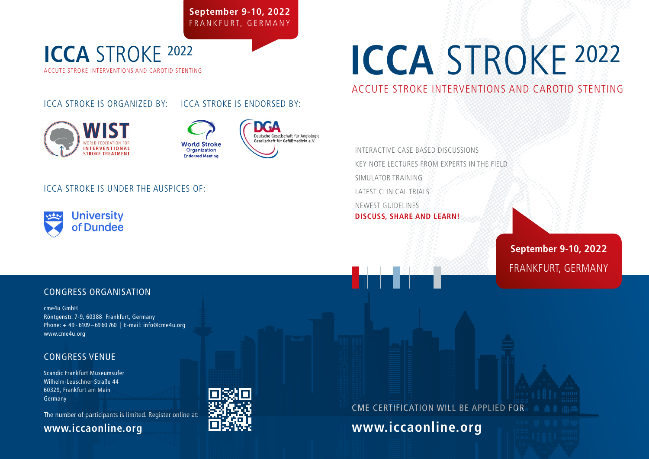**September 9-10, 2022** FRANKFURT, GERMANY

## ACCUTE STROKE INTERVENTIONS AND CAROTID STENTING **ICCA** STROKE <sup>2022</sup>

#### ICCA STROKE IS ORGANIZED BY: ICCA STROKE IS ENDORSED BY:



#### Deutsche Gesellschaft für Angiologie Gesellschaft für Gefäßmedizin e.V. **World Stroke** Organization **Endorsed Meeting**

#### ICCA STROKE IS UNDER THE AUSPICES OF:



# **ICCA** STROKE <sup>2022</sup>

ACCUTE STROKE INTERVENTIONS AND CAROTID STENTING

INTERACTIVE CASE BASED DISCUSSIONS KEY NOTE LECTURES FROM EXPERTS IN THE FIELD SIMULATOR TRAINING LATEST CLINICAL TRIALS NEWEST GUIDELINES **DISCUSS, SHARE AND LEARN!**

> **September 9-10, 2022** FRANKFURT, GERMANY

#### CONGRESS ORGANISATION

cme4u GmbH Röntgenstr. 7-9, 60388 Frankfurt, Germany Phone: + 49 - 6109 – 69 60 760 | E-mail: info@cme4u.org www.cme4u.org

#### CONGRESS VENUE

Scandic Frankfurt Museumsufer Wilhelm-Leuschner-Straße 44 60329, Frankfurt am Main Germany

The number of participants is limited. Register online at:

## **www.iccaonline.org**



## CME CERTIFICATION WILL BE APPLIED FOR

**www.iccaonline.org**